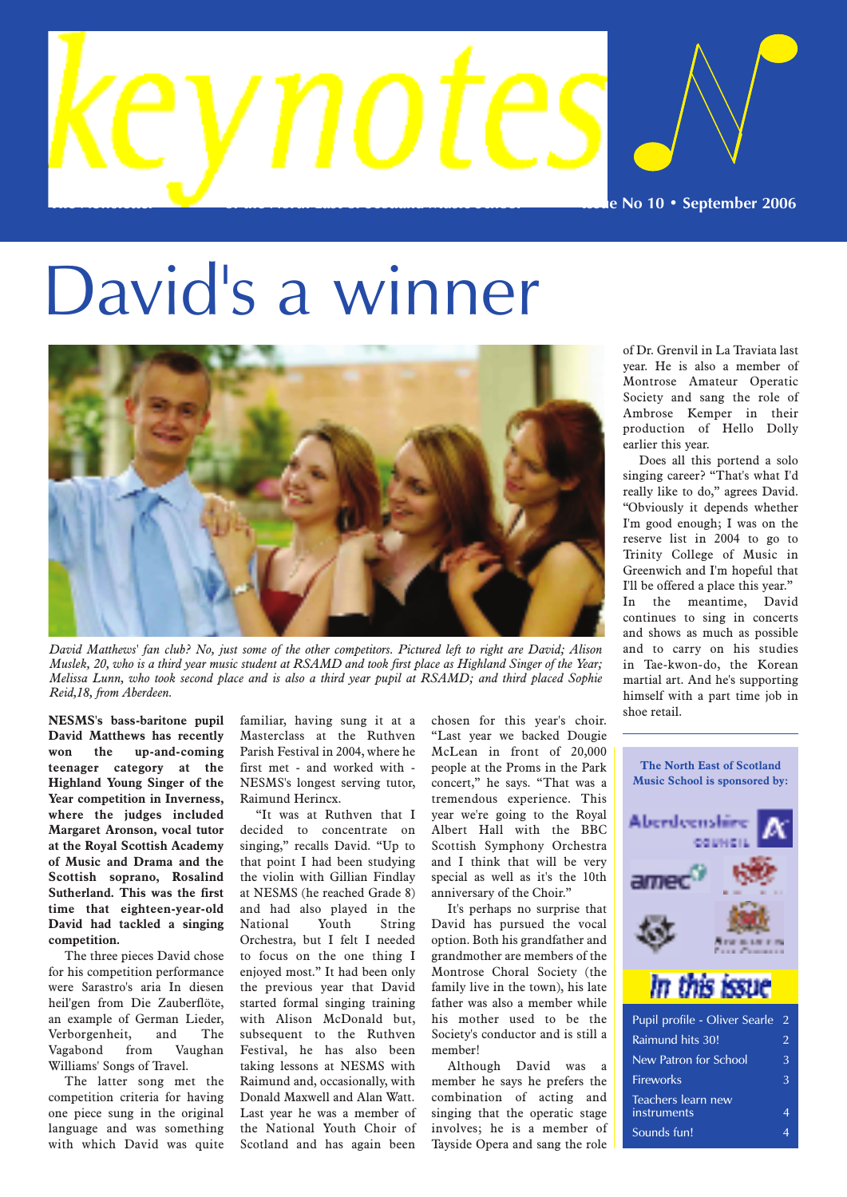

# David's a winner



*David Matthews' fan club? No, just some of the other competitors. Pictured left to right are David; Alison Muslek, 20, who is a third year music student at RSAMD and took first place as Highland Singer of the Year; Melissa Lunn, who took second place and is also a third year pupil at RSAMD; and third placed Sophie Reid,18, from Aberdeen.*

**NESMS's bass-baritone pupil David Matthews has recently won the up-and-coming teenager category at the Highland Young Singer of the Year competition in Inverness, where the judges included Margaret Aronson, vocal tutor at the Royal Scottish Academy of Music and Drama and the Scottish soprano, Rosalind Sutherland. This was the first time that eighteen-year-old David had tackled a singing competition.**

The three pieces David chose for his competition performance were Sarastro's aria In diesen heil'gen from Die Zauberflöte, an example of German Lieder, Verborgenheit, and The Vagabond from Vaughan Williams' Songs of Travel.

The latter song met the competition criteria for having one piece sung in the original language and was something with which David was quite familiar, having sung it at a Masterclass at the Ruthven Parish Festival in 2004, where he first met - and worked with - NESMS's longest serving tutor, Raimund Herincx.

"It was at Ruthven that I decided to concentrate on singing," recalls David. "Up to that point I had been studying the violin with Gillian Findlay at NESMS (he reached Grade 8) and had also played in the National Youth String Orchestra, but I felt I needed to focus on the one thing I enjoyed most." It had been only the previous year that David started formal singing training with Alison McDonald but, subsequent to the Ruthven Festival, he has also been taking lessons at NESMS with Raimund and, occasionally, with Donald Maxwell and Alan Watt. Last year he was a member of the National Youth Choir of Scotland and has again been

chosen for this year's choir. "Last year we backed Dougie McLean in front of 20,000 people at the Proms in the Park concert," he says. "That was a tremendous experience. This year we're going to the Royal Albert Hall with the BBC Scottish Symphony Orchestra and I think that will be very special as well as it's the 10th anniversary of the Choir."

It's perhaps no surprise that David has pursued the vocal option. Both his grandfather and grandmother are members of the Montrose Choral Society (the family live in the town), his late father was also a member while his mother used to be the Society's conductor and is still a member!

Although David was a member he says he prefers the combination of acting and singing that the operatic stage involves; he is a member of Tayside Opera and sang the role

of Dr. Grenvil in La Traviata last year. He is also a member of Montrose Amateur Operatic Society and sang the role of Ambrose Kemper in their production of Hello Dolly earlier this year.

Does all this portend a solo singing career? "That's what I'd really like to do," agrees David. "Obviously it depends whether I'm good enough; I was on the reserve list in 2004 to go to Trinity College of Music in Greenwich and I'm hopeful that I'll be offered a place this year." In the meantime, David continues to sing in concerts and shows as much as possible and to carry on his studies in Tae-kwon-do, the Korean martial art. And he's supporting himself with a part time job in shoe retail.



| Pupil profile - Oliver Searle     | 2              |
|-----------------------------------|----------------|
| Raimund hits 30!                  | $\mathfrak{D}$ |
| New Patron for School             | 3              |
| Fireworks                         | 3              |
| Teachers learn new<br>instruments | Δ              |
| Sounds fun!                       |                |
|                                   |                |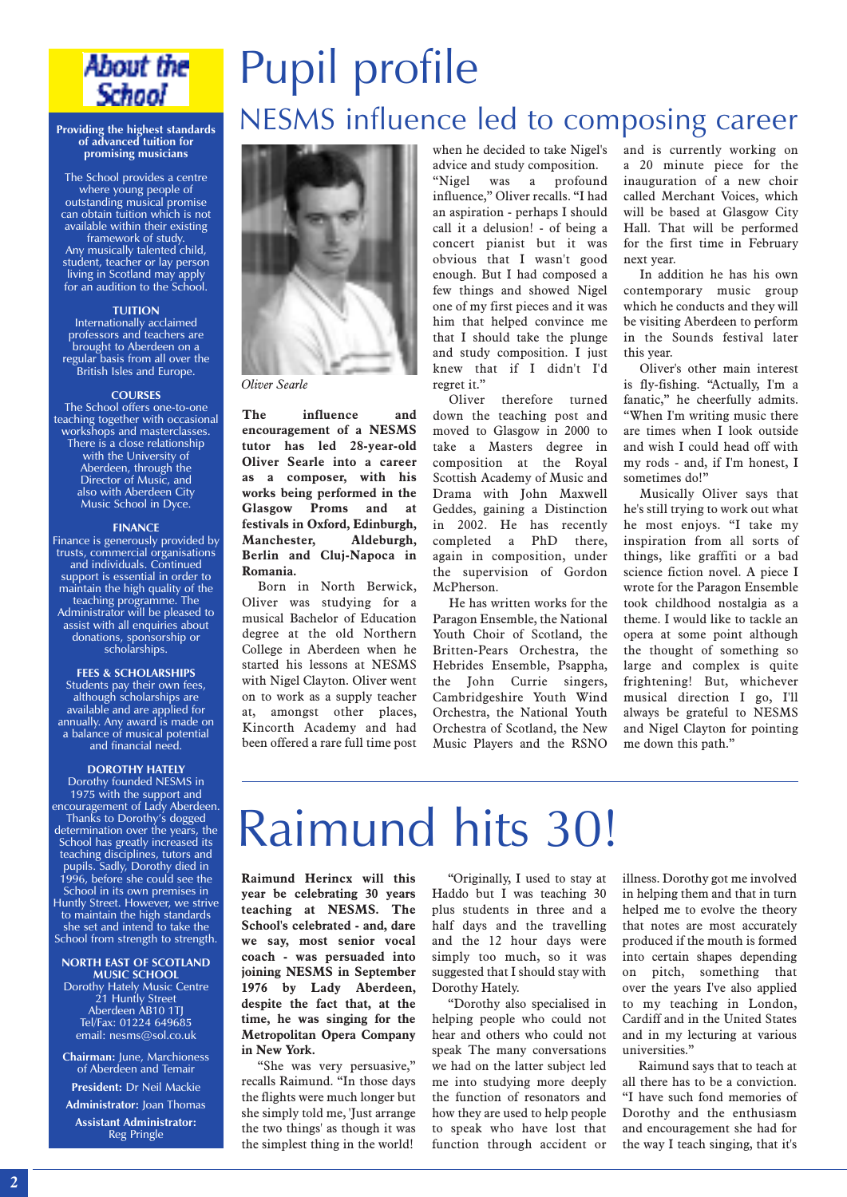

## **promising musicians**

The School provides a centre where young people of outstanding musical promise can obtain tuition which is not available within their existing framework of study. Any musically talented child, student, teacher or lay person living in Scotland may apply for an audition to the School.

#### **TUITION**

Internationally acclaimed professors and teachers are brought to Aberdeen on a regular basis from all over the British Isles and Europe.

#### **COURSES**

The School offers one-to-one teaching together with occasional workshops and masterclasses. There is a close relationship with the University of Aberdeen, through the Director of Music, and also with Aberdeen City Music School in Dyce.

#### **FINANCE**

Finance is generously provided by trusts, commercial organisations and individuals. Continued support is essential in order to maintain the high quality of the teaching programme. The Administrator will be pleased to assist with all enquiries about donations, sponsorship or scholarships.

#### **FEES & SCHOLARSHIPS**

Students pay their own fees, although scholarships are available and are applied for annually. Any award is made on a balance of musical potential and financial need.

#### **DOROTHY HATELY**

Dorothy founded NESMS in 1975 with the support and encouragement of Lady Aberdeen. Thanks to Dorothy's dogged determination over the years, the School has greatly increased its teaching disciplines, tutors and pupils. Sadly, Dorothy died in 1996, before she could see the School in its own premises in Huntly Street. However, we strive to maintain the high standards she set and intend to take the School from strength to strength.

#### **NORTH EAST OF SCOTLAND MUSIC SCHOOL** Dorothy Hately Music Centre

21 Huntly Street Aberdeen AB10 1TJ Tel/Fax: 01224 649685 email: nesms@sol.co.uk

**Chairman:** June, Marchioness of Aberdeen and Temair

**President:** Dr Neil Mackie **Administrator:** Joan Thomas

**Assistant Administrator:** Reg Pringle

## Pupil profile Providing the highest standards NESMS influence led to composing career



*Oliver Searle*

**The influence and encouragement of a NESMS tutor has led 28-year-old Oliver Searle into a career as a composer, with his works being performed in the Glasgow Proms and at festivals in Oxford, Edinburgh, Manchester, Aldeburgh, Berlin and Cluj-Napoca in Romania.**

Born in North Berwick, Oliver was studying for a musical Bachelor of Education degree at the old Northern College in Aberdeen when he started his lessons at NESMS with Nigel Clayton. Oliver went on to work as a supply teacher at, amongst other places, Kincorth Academy and had been offered a rare full time post when he decided to take Nigel's advice and study composition. "Nigel was a profound influence," Oliver recalls. "I had an aspiration - perhaps I should call it a delusion! - of being a concert pianist but it was obvious that I wasn't good enough. But I had composed a few things and showed Nigel one of my first pieces and it was him that helped convince me that I should take the plunge and study composition. I just knew that if I didn't I'd regret it."

Oliver therefore turned down the teaching post and moved to Glasgow in 2000 to take a Masters degree in composition at the Royal Scottish Academy of Music and Drama with John Maxwell Geddes, gaining a Distinction in 2002. He has recently completed a PhD there, again in composition, under the supervision of Gordon McPherson.

He has written works for the Paragon Ensemble, the National Youth Choir of Scotland, the Britten-Pears Orchestra, the Hebrides Ensemble, Psappha, the John Currie singers, Cambridgeshire Youth Wind Orchestra, the National Youth Orchestra of Scotland, the New Music Players and the RSNO and is currently working on a 20 minute piece for the inauguration of a new choir called Merchant Voices, which will be based at Glasgow City Hall. That will be performed for the first time in February next year.

In addition he has his own contemporary music group which he conducts and they will be visiting Aberdeen to perform in the Sounds festival later this year.

Oliver's other main interest is fly-fishing. "Actually, I'm a fanatic," he cheerfully admits. "When I'm writing music there are times when I look outside and wish I could head off with my rods - and, if I'm honest, I sometimes do!"

Musically Oliver says that he's still trying to work out what he most enjoys. "I take my inspiration from all sorts of things, like graffiti or a bad science fiction novel. A piece I wrote for the Paragon Ensemble took childhood nostalgia as a theme. I would like to tackle an opera at some point although the thought of something so large and complex is quite frightening! But, whichever musical direction I go, I'll always be grateful to NESMS and Nigel Clayton for pointing me down this path."

## Raimund hits 30!

**Raimund Herincx will this year be celebrating 30 years teaching at NESMS. The School's celebrated - and, dare we say, most senior vocal coach - was persuaded into joining NESMS in September 1976 by Lady Aberdeen, despite the fact that, at the time, he was singing for the Metropolitan Opera Company in New York.**

"She was very persuasive," recalls Raimund. "In those days the flights were much longer but she simply told me, 'Just arrange the two things' as though it was the simplest thing in the world!

"Originally, I used to stay at Haddo but I was teaching 30 plus students in three and a half days and the travelling and the 12 hour days were simply too much, so it was suggested that I should stay with Dorothy Hately.

"Dorothy also specialised in helping people who could not hear and others who could not speak The many conversations we had on the latter subject led me into studying more deeply the function of resonators and how they are used to help people to speak who have lost that function through accident or

illness. Dorothy got me involved in helping them and that in turn helped me to evolve the theory that notes are most accurately produced if the mouth is formed into certain shapes depending on pitch, something that over the years I've also applied to my teaching in London, Cardiff and in the United States and in my lecturing at various universities."

Raimund says that to teach at all there has to be a conviction. "I have such fond memories of Dorothy and the enthusiasm and encouragement she had for the way I teach singing, that it's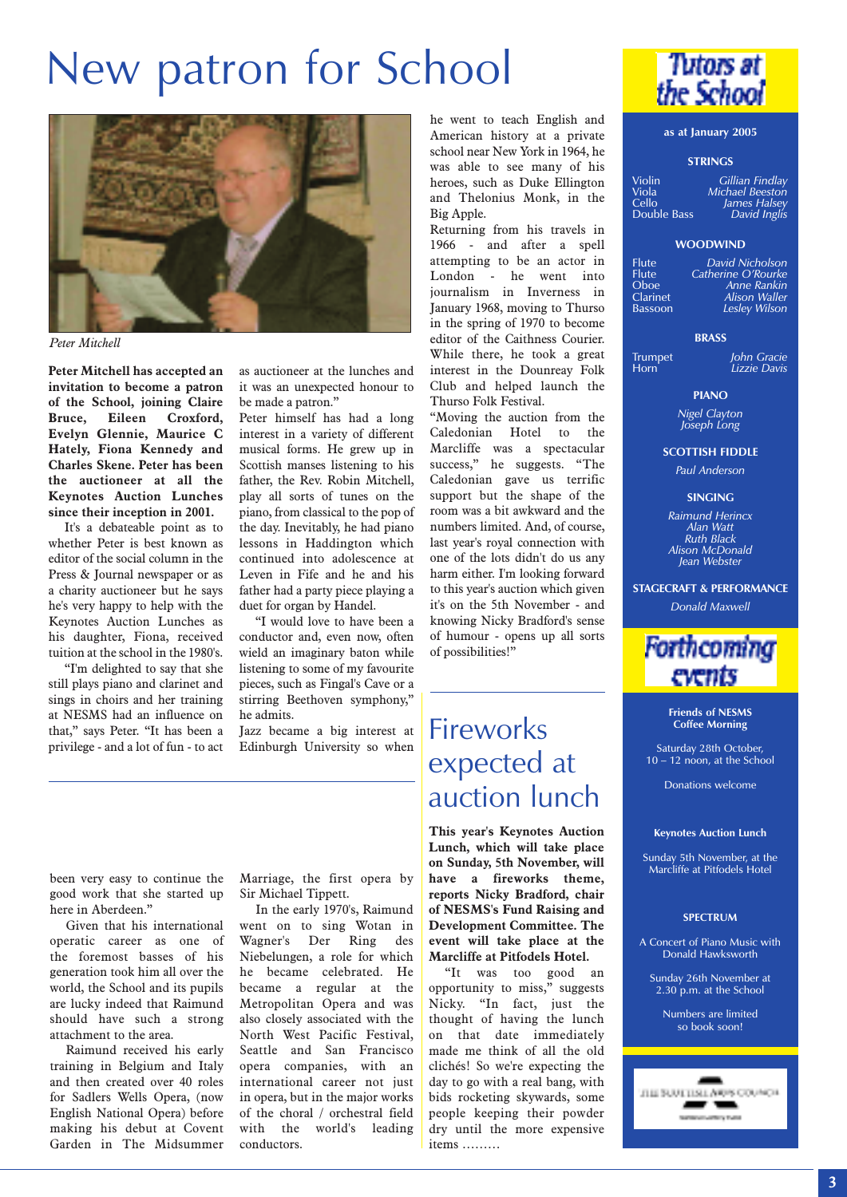## New patron for School



*Peter Mitchell*

**Peter Mitchell has accepted an invitation to become a patron of the School, joining Claire Bruce, Eileen Croxford, Evelyn Glennie, Maurice C Hately, Fiona Kennedy and Charles Skene. Peter has been the auctioneer at all the Keynotes Auction Lunches since their inception in 2001.**

It's a debateable point as to whether Peter is best known as editor of the social column in the Press & Journal newspaper or as a charity auctioneer but he says he's very happy to help with the Keynotes Auction Lunches as his daughter, Fiona, received tuition at the school in the 1980's.

"I'm delighted to say that she still plays piano and clarinet and sings in choirs and her training at NESMS had an influence on that," says Peter. "It has been a privilege - and a lot of fun - to act

as auctioneer at the lunches and it was an unexpected honour to be made a patron."

Peter himself has had a long interest in a variety of different musical forms. He grew up in Scottish manses listening to his father, the Rev. Robin Mitchell, play all sorts of tunes on the piano, from classical to the pop of the day. Inevitably, he had piano lessons in Haddington which continued into adolescence at Leven in Fife and he and his father had a party piece playing a duet for organ by Handel.

"I would love to have been a conductor and, even now, often wield an imaginary baton while listening to some of my favourite pieces, such as Fingal's Cave or a stirring Beethoven symphony," he admits.

Jazz became a big interest at Edinburgh University so when

he went to teach English and American history at a private school near New York in 1964, he was able to see many of his heroes, such as Duke Ellington and Thelonius Monk, in the Big Apple.

Returning from his travels in 1966 - and after a spell attempting to be an actor in London - he went into journalism in Inverness in January 1968, moving to Thurso in the spring of 1970 to become editor of the Caithness Courier. While there, he took a great interest in the Dounreay Folk Club and helped launch the Thurso Folk Festival.

"Moving the auction from the Caledonian Hotel to the Marcliffe was a spectacular success," he suggests. "The Caledonian gave us terrific support but the shape of the room was a bit awkward and the numbers limited. And, of course, last year's royal connection with one of the lots didn't do us any harm either. I'm looking forward to this year's auction which given it's on the 5th November - and knowing Nicky Bradford's sense of humour - opens up all sorts of possibilities!"

### **Fireworks** expected at auction lunch

**This year's Keynotes Auction Lunch, which will take place on Sunday, 5th November, will have a fireworks theme, reports Nicky Bradford, chair of NESMS's Fund Raising and Development Committee. The event will take place at the Marcliffe at Pitfodels Hotel.**

"It was too good an opportunity to miss," suggests Nicky. "In fact, just the thought of having the lunch on that date immediately made me think of all the old clichés! So we're expecting the day to go with a real bang, with bids rocketing skywards, some people keeping their powder dry until the more expensive items ………



#### **as at January 2005**

#### **STRINGS**

Violin *Gillian Findlay* Viola *Michael Beeston* Cello *James Halsey* Double Bass *David Inglis*

#### **WOODWIND**

Flute *David Nicholson* Flute *Catherine O'Rourke*

| <b>Flute</b>    | David Nicholson      |
|-----------------|----------------------|
| <b>Flute</b>    | Catherine O'Rourke   |
| Oboe            | Anne Rankin          |
| <b>Clarinet</b> | Alison Waller        |
| <b>Bassoon</b>  | <b>Lesley Wilson</b> |
|                 |                      |

#### **BRASS**

Trumpet *John Gracie* Horn *Lizzie Davis*

#### **PIANO**

*Nigel Clayton Joseph Long*

**SCOTTISH FIDDLE**

*Paul Anderson*

#### **SINGING**

*Raimund Herincx Alan Watt Ruth Black Alison McDonald Jean Webster*

**STAGECRAFT & PERFORMANCE**

*Donald Maxwell*

### **Forthcoming** events

**Friends of NESMS Coffee Morning**

Saturday 28th October,  $10 - 12$  noon, at the School

Donations welcome

#### **Keynotes Auction Lunch**

Sunday 5th November, at the Marcliffe at Pitfodels Hotel

#### **SPECTRUM**

A Concert of Piano Music with Donald Hawksworth

Sunday 26th November at  $2.30$  p.m. at the School

Numbers are limited so book soon!



been very easy to continue the good work that she started up here in Aberdeen."

Given that his international operatic career as one of the foremost basses of his generation took him all over the world, the School and its pupils are lucky indeed that Raimund should have such a strong attachment to the area.

Raimund received his early training in Belgium and Italy and then created over 40 roles for Sadlers Wells Opera, (now English National Opera) before making his debut at Covent Garden in The Midsummer Marriage, the first opera by

In the early 1970's, Raimund went on to sing Wotan in Wagner's Der Ring des Niebelungen, a role for which he became celebrated. He became a regular at the Metropolitan Opera and was also closely associated with the North West Pacific Festival, Seattle and San Francisco opera companies, with an international career not just in opera, but in the major works of the choral / orchestral field with the world's leading conductors.

# Sir Michael Tippett.